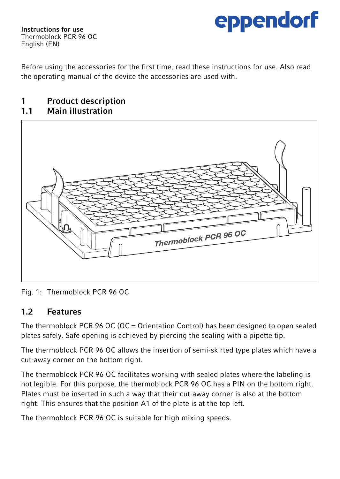

Instructions for use Thermoblock PCR 96 OC English (EN)

Before using the accessories for the first time, read these instructions for use. Also read the operating manual of the device the accessories are used with.

## 1 Product description<br>11 Main illustration

#### Main illustration



Fig. 1: Thermoblock PCR 96 OC

### 1.2 Features

The thermoblock PCR 96 OC (OC = Orientation Control) has been designed to open sealed plates safely. Safe opening is achieved by piercing the sealing with a pipette tip.

The thermoblock PCR 96 OC allows the insertion of semi-skirted type plates which have a cut-away corner on the bottom right.

The thermoblock PCR 96 OC facilitates working with sealed plates where the labeling is not legible. For this purpose, the thermoblock PCR 96 OC has a PIN on the bottom right. Plates must be inserted in such a way that their cut-away corner is also at the bottom right. This ensures that the position A1 of the plate is at the top left.

The thermoblock PCR 96 OC is suitable for high mixing speeds.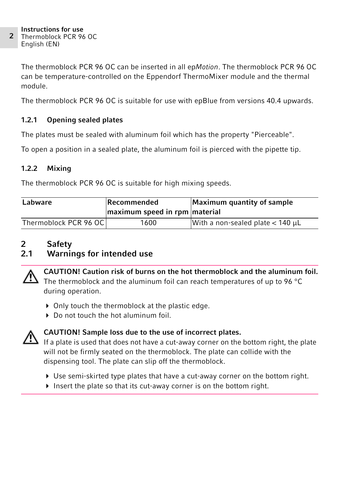The thermoblock PCR 96 OC can be inserted in all epMotion. The thermoblock PCR 96 OC can be temperature-controlled on the Eppendorf ThermoMixer module and the thermal module.

The thermoblock PCR 96 OC is suitable for use with epBlue from versions 40.4 upwards.

#### 1.2.1 Opening sealed plates

The plates must be sealed with aluminum foil which has the property "Pierceable".

To open a position in a sealed plate, the aluminum foil is pierced with the pipette tip.

#### 1.2.2 Mixing

The thermoblock PCR 96 OC is suitable for high mixing speeds.

| Labware               | Recommended<br>maximum speed in rpm material | Maximum quantity of sample              |
|-----------------------|----------------------------------------------|-----------------------------------------|
| Thermoblock PCR 96 OC | 1600                                         | With a non-sealed plate $<$ 140 $\mu$ L |

## 2 Safety<br>2.1 Warnii

### Warnings for intended use



CAUTION! Caution risk of burns on the hot thermoblock and the aluminum foil. The thermoblock and the aluminum foil can reach temperatures of up to 96 °C during operation.

- ▶ Only touch the thermoblock at the plastic edge.
- Do not touch the hot aluminum foil



### CAUTION! Sample loss due to the use of incorrect plates.

If a plate is used that does not have a cut-away corner on the bottom right, the plate will not be firmly seated on the thermoblock. The plate can collide with the dispensing tool. The plate can slip off the thermoblock.

- Use semi-skirted type plates that have a cut-away corner on the bottom right.
- Insert the plate so that its cut-away corner is on the bottom right.